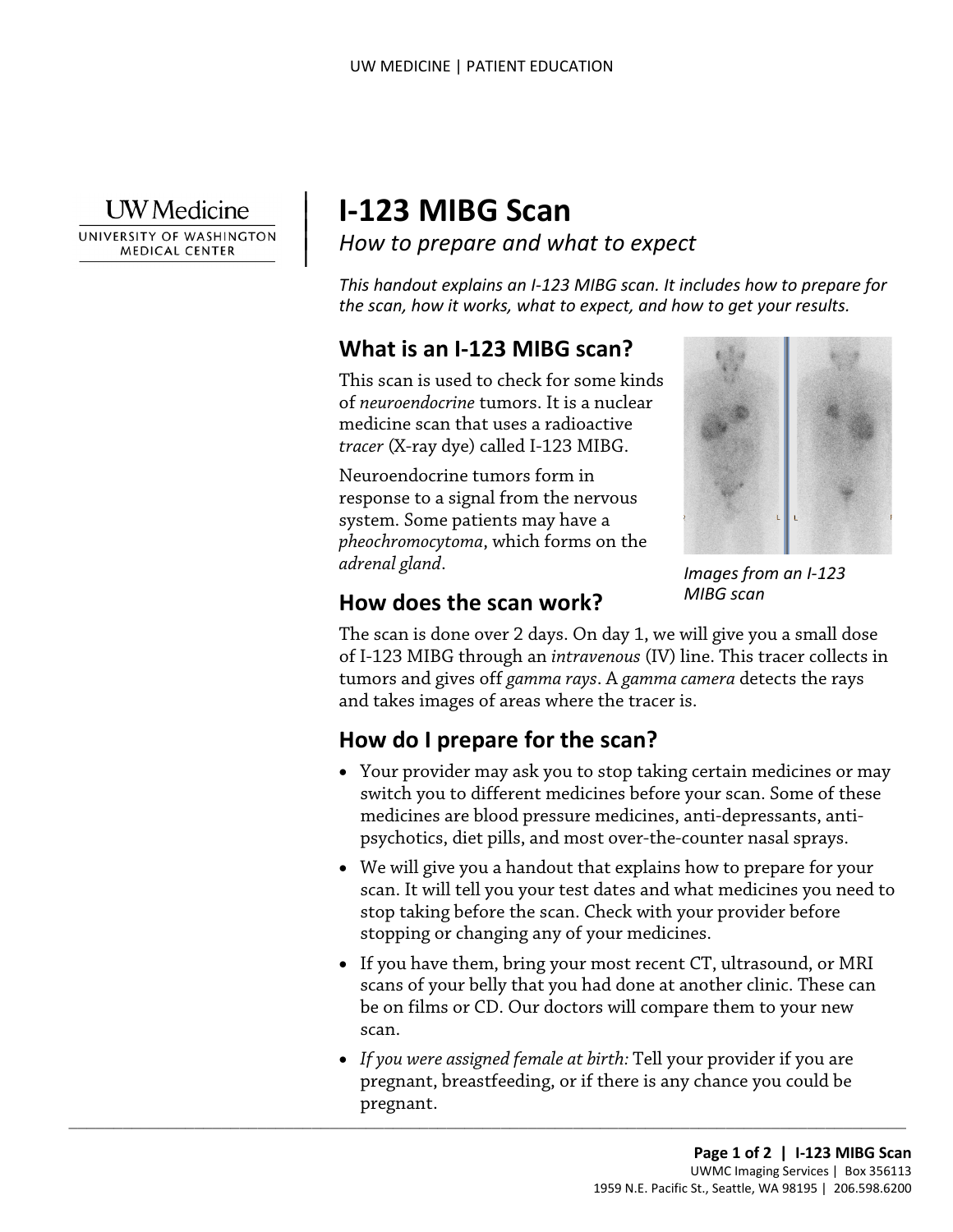

|

UNIVERSITY OF WASHINGTON **MEDICAL CENTER** 

# <sup>|</sup>**I-123 MIBG Scan** | *How to prepare and what to expect* <sup>|</sup>

*This handout explains an I-123 MIBG scan. It includes how to prepare for the scan, how it works, what to expect, and how to get your results.* 

## **What is an I-123 MIBG scan?**

This scan is used to check for some kinds of *neuroendocrine* tumors. It is a nuclear medicine scan that uses a radioactive *tracer* (X-ray dye) called I-123 MIBG.

 Neuroendocrine tumors form in response to a signal from the nervous system. Some patients may have a *pheochromocytoma*, which forms on the *adrenal gland*.



*Images from an I-123 MIBG scan* 

#### **How does the scan work?**

The scan is done over 2 days. On day 1, we will give you a small dose of I-123 MIBG through an *intravenous* (IV) line. This tracer collects in tumors and gives off *gamma rays*. A *gamma camera* detects the rays and takes images of areas where the tracer is.

## **How do I prepare for the scan?**

 $\_$  ,  $\_$  ,  $\_$  ,  $\_$  ,  $\_$  ,  $\_$  ,  $\_$  ,  $\_$  ,  $\_$  ,  $\_$  ,  $\_$  ,  $\_$  ,  $\_$  ,  $\_$  ,  $\_$  ,  $\_$  ,  $\_$  ,  $\_$  ,  $\_$  ,  $\_$  ,  $\_$  ,  $\_$  ,  $\_$  ,  $\_$  ,  $\_$  ,  $\_$  ,  $\_$  ,  $\_$  ,  $\_$  ,  $\_$  ,  $\_$  ,  $\_$  ,  $\_$  ,  $\_$  ,  $\_$  ,  $\_$  ,  $\_$  ,

- Your provider may ask you to stop taking certain medicines or may switch you to different medicines before your scan. Some of these medicines are blood pressure medicines, anti-depressants, antipsychotics, diet pills, and most over-the-counter nasal sprays.
- We will give you a handout that explains how to prepare for your scan. It will tell you your test dates and what medicines you need to stop taking before the scan. Check with your provider before stopping or changing any of your medicines.
- If you have them, bring your most recent CT, ultrasound, or MRI scans of your belly that you had done at another clinic. These can be on films or CD. Our doctors will compare them to your new scan.
- *If you were assigned female at birth:* Tell your provider if you are pregnant, breastfeeding, or if there is any chance you could be pregnant.